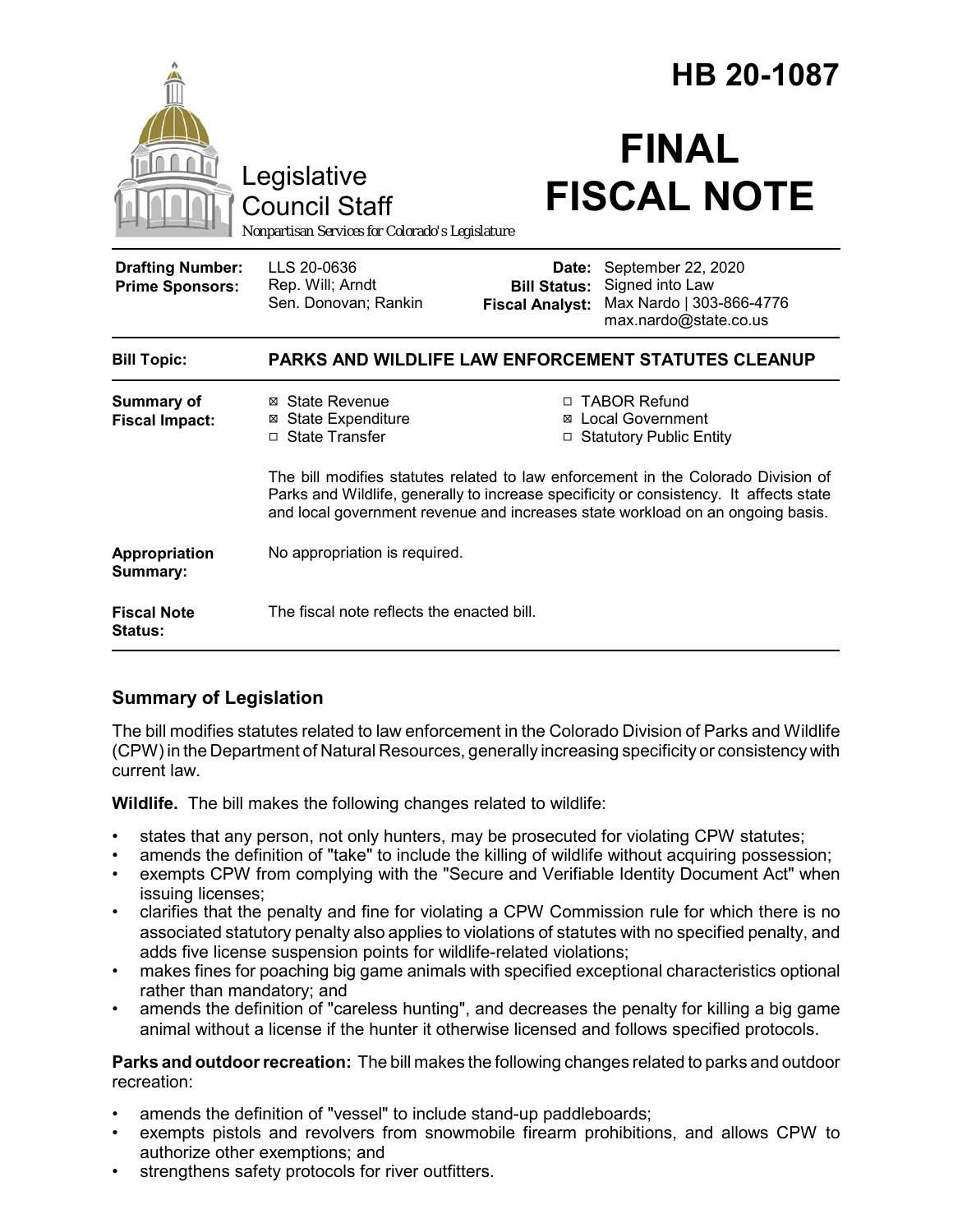|                                                   |                                                                                                                                                                                                                                                               |                                                        | HB 20-1087                                                                                 |  |
|---------------------------------------------------|---------------------------------------------------------------------------------------------------------------------------------------------------------------------------------------------------------------------------------------------------------------|--------------------------------------------------------|--------------------------------------------------------------------------------------------|--|
|                                                   | Legislative<br><b>Council Staff</b><br>Nonpartisan Services for Colorado's Legislature                                                                                                                                                                        |                                                        | <b>FINAL</b><br><b>FISCAL NOTE</b>                                                         |  |
| <b>Drafting Number:</b><br><b>Prime Sponsors:</b> | LLS 20-0636<br>Rep. Will; Arndt<br>Sen. Donovan; Rankin                                                                                                                                                                                                       | Date:<br><b>Bill Status:</b><br><b>Fiscal Analyst:</b> | September 22, 2020<br>Signed into Law<br>Max Nardo   303-866-4776<br>max.nardo@state.co.us |  |
| <b>Bill Topic:</b>                                | PARKS AND WILDLIFE LAW ENFORCEMENT STATUTES CLEANUP                                                                                                                                                                                                           |                                                        |                                                                                            |  |
| <b>Summary of</b><br><b>Fiscal Impact:</b>        | ⊠ State Revenue<br><b>⊠</b> State Expenditure<br>□ State Transfer                                                                                                                                                                                             | ⊠                                                      | □ TABOR Refund<br><b>Local Government</b><br><b>Statutory Public Entity</b>                |  |
|                                                   | The bill modifies statutes related to law enforcement in the Colorado Division of<br>Parks and Wildlife, generally to increase specificity or consistency. It affects state<br>and local government revenue and increases state workload on an ongoing basis. |                                                        |                                                                                            |  |
| Appropriation<br>Summary:                         | No appropriation is required.                                                                                                                                                                                                                                 |                                                        |                                                                                            |  |
| <b>Fiscal Note</b><br><b>Status:</b>              | The fiscal note reflects the enacted bill.                                                                                                                                                                                                                    |                                                        |                                                                                            |  |

# **Summary of Legislation**

The bill modifies statutes related to law enforcement in the Colorado Division of Parks and Wildlife (CPW) in the Department of Natural Resources, generally increasing specificity or consistency with current law.

**Wildlife.** The bill makes the following changes related to wildlife:

- states that any person, not only hunters, may be prosecuted for violating CPW statutes;
- amends the definition of "take" to include the killing of wildlife without acquiring possession;
- exempts CPW from complying with the "Secure and Verifiable Identity Document Act" when issuing licenses;
- clarifies that the penalty and fine for violating a CPW Commission rule for which there is no associated statutory penalty also applies to violations of statutes with no specified penalty, and adds five license suspension points for wildlife-related violations;
- makes fines for poaching big game animals with specified exceptional characteristics optional rather than mandatory; and
- amends the definition of "careless hunting", and decreases the penalty for killing a big game animal without a license if the hunter it otherwise licensed and follows specified protocols.

**Parks and outdoor recreation:** The bill makes the following changes related to parks and outdoor recreation:

- amends the definition of "vessel" to include stand-up paddleboards;
- exempts pistols and revolvers from snowmobile firearm prohibitions, and allows CPW to authorize other exemptions; and
- strengthens safety protocols for river outfitters.